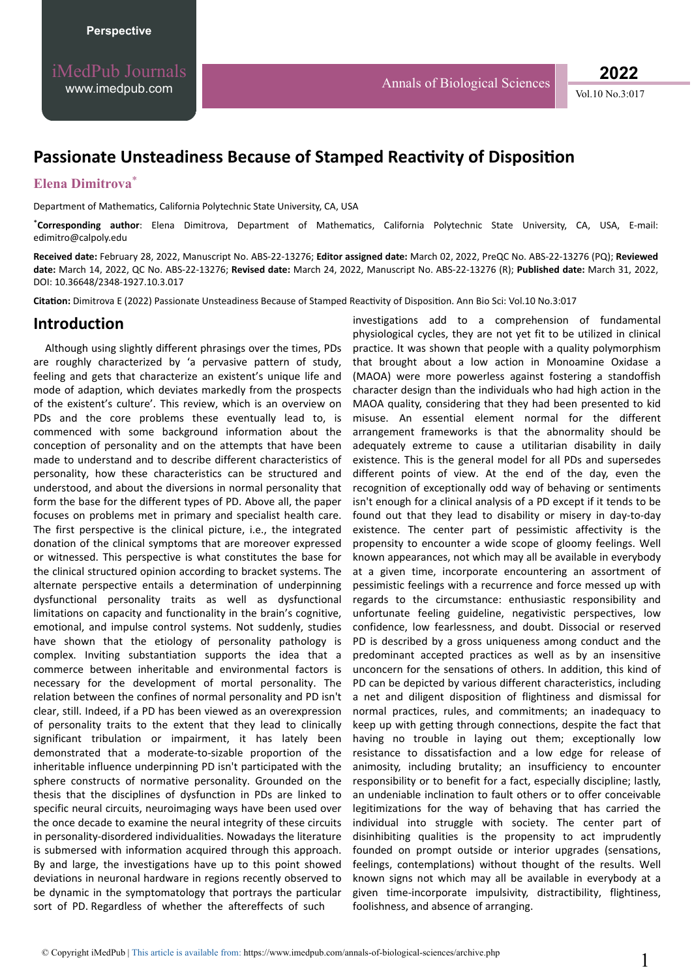# **Passionate Unsteadiness Because of Stamped Reactivity of Disposition**

### **Elena Dimitrova**\*

Department of Mathematics, California Polytechnic State University, CA, USA

\*Corresponding author: Elena Dimitrova, Department of Mathematics, California Polytechnic State University, CA, USA, E-mail: edimitro@calpoly.edu

**Received date:** February 28, 2022, Manuscript No. ABS-22-13276; **Editor assigned date:** March 02, 2022, PreQC No. ABS-22-13276 (PQ); **Reviewed date:** March 14, 2022, QC No. ABS-22-13276; **Revised date:** March 24, 2022, Manuscript No. ABS-22-13276 (R); **Published date:** March 31, 2022, DOI: 10.36648/2348-1927.10.3.017

Citation: Dimitrova E (2022) Passionate Unsteadiness Because of Stamped Reactivity of Disposition. Ann Bio Sci: Vol.10 No.3:017

#### **Introduction**

Although using slightly different phrasings over the times, PDs are roughly characterized by 'a pervasive pattern of study, feeling and gets that characterize an existent's unique life and mode of adaption, which deviates markedly from the prospects of the existent's culture'. This review, which is an overview on PDs and the core problems these eventually lead to, is commenced with some background information about the conception of personality and on the attempts that have been made to understand and to describe different characteristics of personality, how these characteristics can be structured and understood, and about the diversions in normal personality that form the base for the different types of PD. Above all, the paper focuses on problems met in primary and specialist health care. The first perspective is the clinical picture, i.e., the integrated donation of the clinical symptoms that are moreover expressed or witnessed. This perspective is what constitutes the base for the clinical structured opinion according to bracket systems. The alternate perspective entails a determination of underpinning dysfunctional personality traits as well as dysfunctional limitations on capacity and functionality in the brain's cognitive, emotional, and impulse control systems. Not suddenly, studies have shown that the etiology of personality pathology is complex. Inviting substantiation supports the idea that a commerce between inheritable and environmental factors is necessary for the development of mortal personality. The relation between the confines of normal personality and PD isn't clear, still. Indeed, if a PD has been viewed as an overexpression of personality traits to the extent that they lead to clinically significant tribulation or impairment, it has lately been demonstrated that a moderate-to-sizable proportion of the inheritable influence underpinning PD isn't participated with the sphere constructs of normative personality. Grounded on the thesis that the disciplines of dysfunction in PDs are linked to specific neural circuits, neuroimaging ways have been used over the once decade to examine the neural integrity of these circuits in personality-disordered individualities. Nowadays the literature is submersed with information acquired through this approach. By and large, the investigations have up to this point showed deviations in neuronal hardware in regions recently observed to be dynamic in the symptomatology that portrays the particular sort of PD. Regardless of whether the aftereffects of such

investigations add to a comprehension of fundamental physiological cycles, they are not yet fit to be utilized in clinical practice. It was shown that people with a quality polymorphism that brought about a low action in Monoamine Oxidase a (MAOA) were more powerless against fostering a standoffish character design than the individuals who had high action in the MAOA quality, considering that they had been presented to kid misuse. An essential element normal for the different arrangement frameworks is that the abnormality should be adequately extreme to cause a utilitarian disability in daily existence. This is the general model for all PDs and supersedes different points of view. At the end of the day, even the recognition of exceptionally odd way of behaving or sentiments isn't enough for a clinical analysis of a PD except if it tends to be found out that they lead to disability or misery in day-to-day existence. The center part of pessimistic affectivity is the propensity to encounter a wide scope of gloomy feelings. Well known appearances, not which may all be available in everybody at a given time, incorporate encountering an assortment of pessimistic feelings with a recurrence and force messed up with regards to the circumstance: enthusiastic responsibility and unfortunate feeling guideline, negativistic perspectives, low confidence, low fearlessness, and doubt. Dissocial or reserved PD is described by a gross uniqueness among conduct and the predominant accepted practices as well as by an insensitive unconcern for the sensations of others. In addition, this kind of PD can be depicted by various different characteristics, including a net and diligent disposition of flightiness and dismissal for normal practices, rules, and commitments; an inadequacy to keep up with getting through connections, despite the fact that having no trouble in laying out them; exceptionally low resistance to dissatisfaction and a low edge for release of animosity, including brutality; an insufficiency to encounter responsibility or to benefit for a fact, especially discipline; lastly, an undeniable inclination to fault others or to offer conceivable legitimizations for the way of behaving that has carried the individual into struggle with society. The center part of disinhibiting qualities is the propensity to act imprudently founded on prompt outside or interior upgrades (sensations, feelings, contemplations) without thought of the results. Well known signs not which may all be available in everybody at a given time-incorporate impulsivity, distractibility, flightiness, foolishness, and absence of arranging.